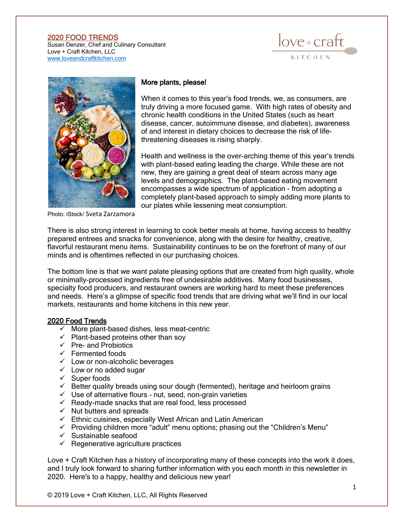## 2020 FOOD TRENDS

Susan Denzer, Chef and Culinary Consultant Love + Craft Kitchen, LLC [www.loveandcraftktichen.com](http://www.loveandcraftktichen.com/)





## More plants, please!

When it comes to this year's food trends, we, as consumers, are truly driving a more focused game. With high rates of obesity and chronic health conditions in the United States (such as heart disease, cancer, autoimmune disease, and diabetes), awareness of and interest in dietary choices to decrease the risk of lifethreatening diseases is rising sharply.

Health and wellness is the over-arching theme of this year's trends with plant-based eating leading the charge. While these are not new, they are gaining a great deal of steam across many age levels and demographics. The plant-based eating movement encompasses a wide spectrum of application - from adopting a completely plant-based approach to simply adding more plants to our plates while lessening meat consumption.

Photo: iStock/ [Sveta Zarzamora](https://www.istockphoto.com/portfolio/sveta_zarzamora?mediatype=photography)

There is also strong interest in learning to cook better meals at home, having access to healthy prepared entrees and snacks for convenience, along with the desire for healthy, creative, flavorful restaurant menu items. Sustainability continues to be on the forefront of many of our minds and is oftentimes reflected in our purchasing choices.

The bottom line is that we want palate pleasing options that are created from high quality, whole or minimally-processed ingredients free of undesirable additives. Many food businesses, specialty food producers, and restaurant owners are working hard to meet these preferences and needs. Here's a glimpse of specific food trends that are driving what we'll find in our local markets, restaurants and home kitchens in this new year.

## 2020 Food Trends

- $\checkmark$  More plant-based dishes, less meat-centric
- $\checkmark$  Plant-based proteins other than soy
- $\checkmark$  Pre- and Probiotics
- $\checkmark$  Fermented foods
- $\checkmark$  Low or non-alcoholic beverages
- $\checkmark$  Low or no added sugar
- ✓ Super foods
- $\checkmark$  Better quality breads using sour dough (fermented), heritage and heirloom grains
- ✓ Use of alternative flours nut, seed, non-grain varieties
- $\checkmark$  Ready-made snacks that are real food, less processed
- $\checkmark$  Nut butters and spreads
- $\checkmark$  Ethnic cuisines, especially West African and Latin American
- ✓ Providing children more "adult" menu options; phasing out the "Children's Menu"
- ✓ Sustainable seafood
- $\checkmark$  Regenerative agriculture practices

Love + Craft Kitchen has a history of incorporating many of these concepts into the work it does, and I truly look forward to sharing further information with you each month in this newsletter in 2020. Here's to a happy, healthy and delicious new year!

© 2019 Love + Craft Kitchen, LLC, All Rights Reserved